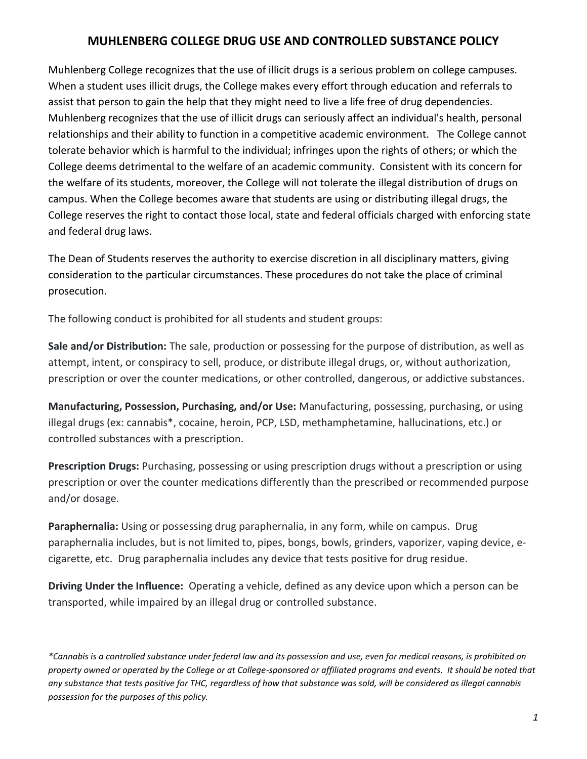## **MUHLENBERG COLLEGE DRUG USE AND CONTROLLED SUBSTANCE POLICY**

Muhlenberg College recognizes that the use of illicit drugs is a serious problem on college campuses. When a student uses illicit drugs, the College makes every effort through education and referrals to assist that person to gain the help that they might need to live a life free of drug dependencies. Muhlenberg recognizes that the use of illicit drugs can seriously affect an individual's health, personal relationships and their ability to function in a competitive academic environment. The College cannot tolerate behavior which is harmful to the individual; infringes upon the rights of others; or which the College deems detrimental to the welfare of an academic community. Consistent with its concern for the welfare of its students, moreover, the College will not tolerate the illegal distribution of drugs on campus. When the College becomes aware that students are using or distributing illegal drugs, the College reserves the right to contact those local, state and federal officials charged with enforcing state and federal drug laws.

The Dean of Students reserves the authority to exercise discretion in all disciplinary matters, giving consideration to the particular circumstances. These procedures do not take the place of criminal prosecution.

The following conduct is prohibited for all students and student groups:

**Sale and/or Distribution:** The sale, production or possessing for the purpose of distribution, as well as attempt, intent, or conspiracy to sell, produce, or distribute illegal drugs, or, without authorization, prescription or over the counter medications, or other controlled, dangerous, or addictive substances.

**Manufacturing, Possession, Purchasing, and/or Use:** Manufacturing, possessing, purchasing, or using illegal drugs (ex: cannabis\*, cocaine, heroin, PCP, LSD, methamphetamine, hallucinations, etc.) or controlled substances with a prescription.

**Prescription Drugs:** Purchasing, possessing or using prescription drugs without a prescription or using prescription or over the counter medications differently than the prescribed or recommended purpose and/or dosage.

**Paraphernalia:** Using or possessing drug paraphernalia, in any form, while on campus. Drug paraphernalia includes, but is not limited to, pipes, bongs, bowls, grinders, vaporizer, vaping device, ecigarette, etc. Drug paraphernalia includes any device that tests positive for drug residue.

**Driving Under the Influence:** Operating a vehicle, defined as any device upon which a person can be transported, while impaired by an illegal drug or controlled substance.

*\*Cannabis is a controlled substance under federal law and its possession and use, even for medical reasons, is prohibited on property owned or operated by the College or at College-sponsored or affiliated programs and events. It should be noted that any substance that tests positive for THC, regardless of how that substance was sold, will be considered as illegal cannabis possession for the purposes of this policy.*